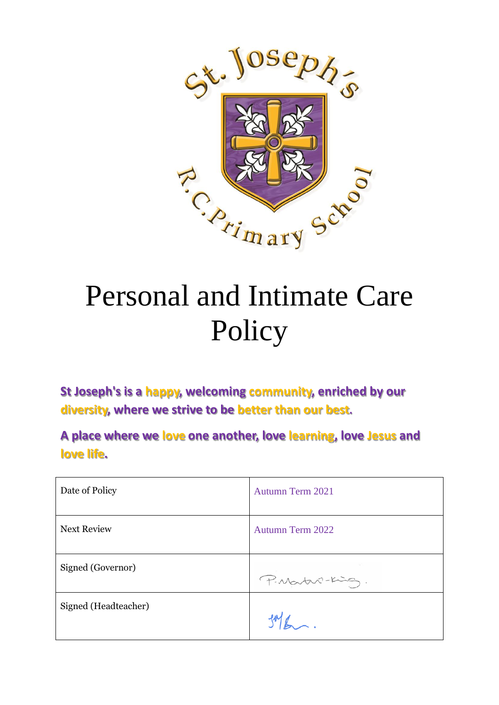

# Personal and Intimate Care Policy

**St Joseph's is a happy, welcoming community, enriched by our diversity, where we strive to be better than our best.**

**A place where we love one another, love learning, love Jesus and love life.**

| Date of Policy       | Autumn Term 2021        |
|----------------------|-------------------------|
| <b>Next Review</b>   | <b>Autumn Term 2022</b> |
| Signed (Governor)    | P. Martin-King.         |
| Signed (Headteacher) |                         |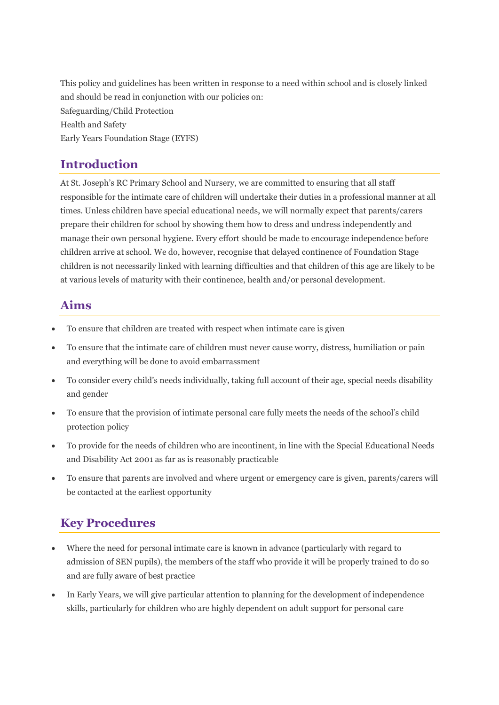This policy and guidelines has been written in response to a need within school and is closely linked and should be read in conjunction with our policies on: Safeguarding/Child Protection Health and Safety Early Years Foundation Stage (EYFS)

#### **Introduction**

At St. Joseph's RC Primary School and Nursery, we are committed to ensuring that all staff responsible for the intimate care of children will undertake their duties in a professional manner at all times. Unless children have special educational needs, we will normally expect that parents/carers prepare their children for school by showing them how to dress and undress independently and manage their own personal hygiene. Every effort should be made to encourage independence before children arrive at school. We do, however, recognise that delayed continence of Foundation Stage children is not necessarily linked with learning difficulties and that children of this age are likely to be at various levels of maturity with their continence, health and/or personal development.

#### **Aims**

- To ensure that children are treated with respect when intimate care is given
- To ensure that the intimate care of children must never cause worry, distress, humiliation or pain and everything will be done to avoid embarrassment
- To consider every child's needs individually, taking full account of their age, special needs disability and gender
- To ensure that the provision of intimate personal care fully meets the needs of the school's child protection policy
- To provide for the needs of children who are incontinent, in line with the Special Educational Needs and Disability Act 2001 as far as is reasonably practicable
- To ensure that parents are involved and where urgent or emergency care is given, parents/carers will be contacted at the earliest opportunity

# **Key Procedures**

- Where the need for personal intimate care is known in advance (particularly with regard to admission of SEN pupils), the members of the staff who provide it will be properly trained to do so and are fully aware of best practice
- In Early Years, we will give particular attention to planning for the development of independence skills, particularly for children who are highly dependent on adult support for personal care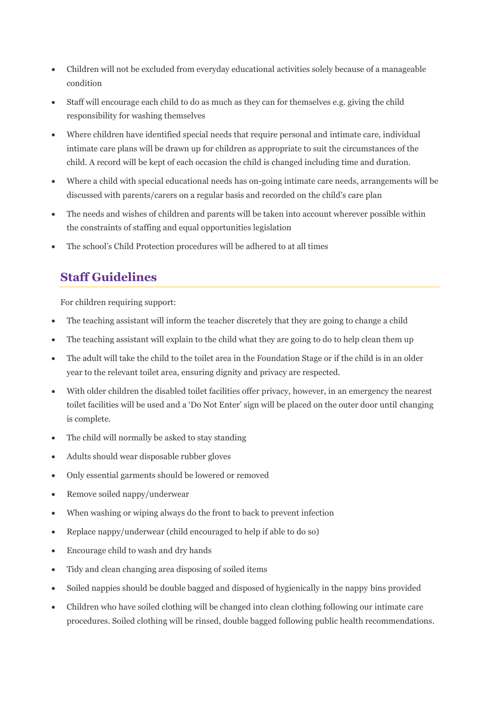- Children will not be excluded from everyday educational activities solely because of a manageable condition
- Staff will encourage each child to do as much as they can for themselves e.g. giving the child responsibility for washing themselves
- Where children have identified special needs that require personal and intimate care, individual intimate care plans will be drawn up for children as appropriate to suit the circumstances of the child. A record will be kept of each occasion the child is changed including time and duration.
- Where a child with special educational needs has on-going intimate care needs, arrangements will be discussed with parents/carers on a regular basis and recorded on the child's care plan
- The needs and wishes of children and parents will be taken into account wherever possible within the constraints of staffing and equal opportunities legislation
- The school's Child Protection procedures will be adhered to at all times

# **Staff Guidelines**

For children requiring support:

- The teaching assistant will inform the teacher discretely that they are going to change a child
- The teaching assistant will explain to the child what they are going to do to help clean them up
- The adult will take the child to the toilet area in the Foundation Stage or if the child is in an older year to the relevant toilet area, ensuring dignity and privacy are respected.
- With older children the disabled toilet facilities offer privacy, however, in an emergency the nearest toilet facilities will be used and a 'Do Not Enter' sign will be placed on the outer door until changing is complete.
- The child will normally be asked to stay standing
- Adults should wear disposable rubber gloves
- Only essential garments should be lowered or removed
- Remove soiled nappy/underwear
- When washing or wiping always do the front to back to prevent infection
- Replace nappy/underwear (child encouraged to help if able to do so)
- Encourage child to wash and dry hands
- Tidy and clean changing area disposing of soiled items
- Soiled nappies should be double bagged and disposed of hygienically in the nappy bins provided
- Children who have soiled clothing will be changed into clean clothing following our intimate care procedures. Soiled clothing will be rinsed, double bagged following public health recommendations.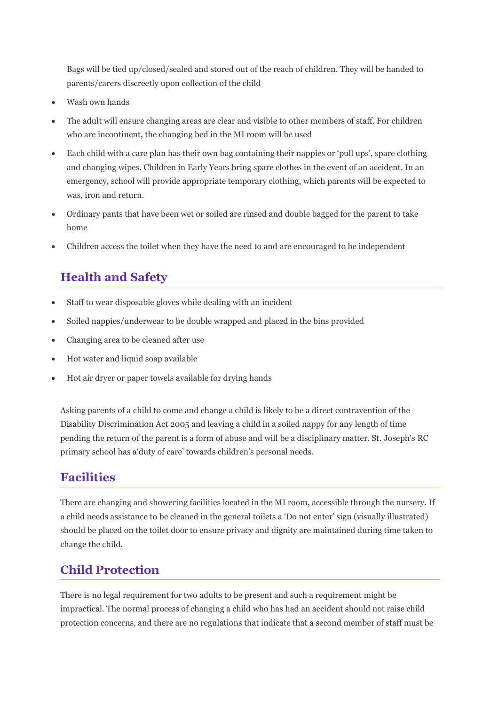Bags will be tied up/closed/sealed and stored out of the reach of children. They will be handed to parents/carers discreetly upon collection of the child

- Wash own hands
- The adult will ensure changing areas are clear and visible to other members of staff. For children who are incontinent, the changing bed in the MI room will be used
- Each child with a care plan has their own bag containing their nappies or 'pull ups', spare clothing and changing wipes. Children in Early Years bring spare clothes in the event of an accident. In an emergency, school will provide appropriate temporary clothing, which parents will be expected to was, iron and return.
- Ordinary pants that have been wet or soiled are rinsed and double bagged for the parent to take home
- Children access the toilet when they have the need to and are encouraged to be independent

# **Health and Safety**

- Staff to wear disposable gloves while dealing with an incident
- Soiled nappies/underwear to be double wrapped and placed in the bins provided
- Changing area to be cleaned after use
- Hot water and liquid soap available
- Hot air dryer or paper towels available for drying hands

Asking parents of a child to come and change a child is likely to be a direct contravention of the Disability Discrimination Act 2005 and leaving a child in a soiled nappy for any length of time pending the return of the parent is a form of abuse and will be a disciplinary matter. St. Joseph's RC primary school has a'duty of care' towards children's personal needs.

## **Facilities**

There are changing and showering facilities located in the MI room, accessible through the nursery. If a child needs assistance to be cleaned in the general toilets a 'Do not enter' sign (visually illustrated) should be placed on the toilet door to ensure privacy and dignity are maintained during time taken to change the child.

# **Child Protection**

There is no legal requirement for two adults to be present and such a requirement might be impractical. The normal process of changing a child who has had an accident should not raise child protection concerns, and there are no regulations that indicate that a second member of staff must be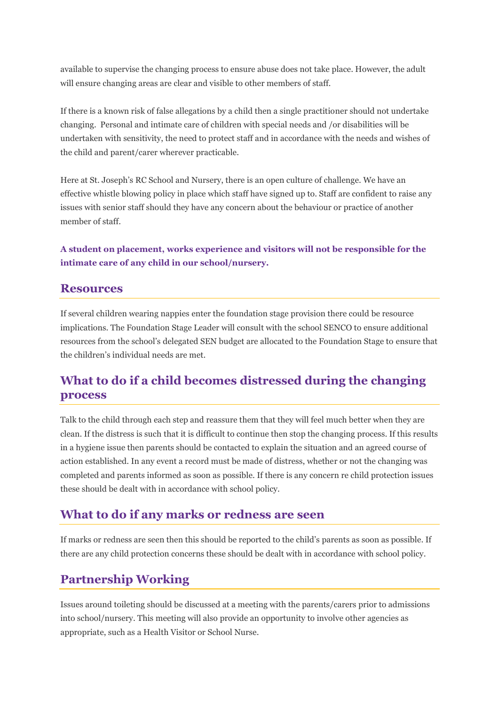available to supervise the changing process to ensure abuse does not take place. However, the adult will ensure changing areas are clear and visible to other members of staff.

If there is a known risk of false allegations by a child then a single practitioner should not undertake changing. Personal and intimate care of children with special needs and /or disabilities will be undertaken with sensitivity, the need to protect staff and in accordance with the needs and wishes of the child and parent/carer wherever practicable.

Here at St. Joseph's RC School and Nursery, there is an open culture of challenge. We have an effective whistle blowing policy in place which staff have signed up to. Staff are confident to raise any issues with senior staff should they have any concern about the behaviour or practice of another member of staff.

**A student on placement, works experience and visitors will not be responsible for the intimate care of any child in our school/nursery.**

#### **Resources**

If several children wearing nappies enter the foundation stage provision there could be resource implications. The Foundation Stage Leader will consult with the school SENCO to ensure additional resources from the school's delegated SEN budget are allocated to the Foundation Stage to ensure that the children's individual needs are met.

#### **What to do if a child becomes distressed during the changing process**

Talk to the child through each step and reassure them that they will feel much better when they are clean. If the distress is such that it is difficult to continue then stop the changing process. If this results in a hygiene issue then parents should be contacted to explain the situation and an agreed course of action established. In any event a record must be made of distress, whether or not the changing was completed and parents informed as soon as possible. If there is any concern re child protection issues these should be dealt with in accordance with school policy.

#### **What to do if any marks or redness are seen**

If marks or redness are seen then this should be reported to the child's parents as soon as possible. If there are any child protection concerns these should be dealt with in accordance with school policy.

## **Partnership Working**

Issues around toileting should be discussed at a meeting with the parents/carers prior to admissions into school/nursery. This meeting will also provide an opportunity to involve other agencies as appropriate, such as a Health Visitor or School Nurse.